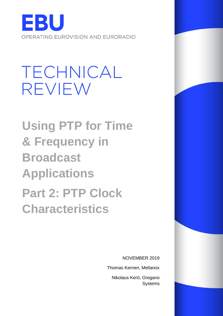

# TECHNICAL **REVIEW**

**Using PTP for Time & Frequency in Broadcast Applications Part 2: PTP Clock Characteristics** 

NOVEMBER 2019

Thomas Kernen, Mellanox

Nikolaus Kerö, Oregano Systems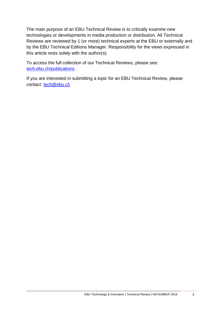The main purpose of an EBU Technical Review is to critically examine new technologies or developments in media production or distribution. All Technical Reviews are reviewed by 1 (or more) technical experts at the EBU or externally and by the EBU Technical Editions Manager. Responsibility for the views expressed in this article rests solely with the author(s).

To access the full collection of our Technical Reviews, please see: [tech.ebu.ch/publications](https://tech.ebu.ch/publications) .

If you are interested in submitting a topic for an EBU Technical Review, please contact: [tech@ebu.ch](mailto:tech@ebu.ch)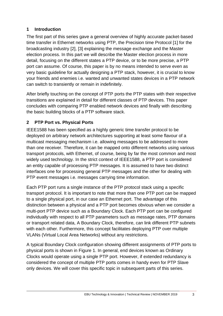## **1 Introduction**

The first part of this series gave a general overview of highly accurate packet-based time transfer in Ethernet networks using PTP, the Precision time Protocol [1] for the broadcasting industry [2], [3] explaining the message exchange and the Master election process. In this part we will describe the Master election process in more detail, focusing on the different states a PTP device, or to be more precise, a PTP port can assume. Of course, this paper is by no means intended to serve even as very basic guideline for actually designing a PTP stack, however, it is crucial to know your friends and enemies i.e. wanted and unwanted states devices in a PTP network can switch to transiently or remain in indefinitely.

After briefly touching on the concept of PTP ports the PTP states with their respective transitions are explained in detail for different classes of PTP devices. This paper concludes with comparing PTP enabled network devices and finally with describing the basic building blocks of a PTP software stack.

# **2 PTP Port vs. Physical Ports**

IEEE1588 has been specified as a highly generic time transfer protocol to be deployed on arbitrary network architectures supporting at least some flavour of a multicast messaging mechanism i.e. allowing messages to be addressed to more than one receiver. Therefore, it can be mapped onto different networks using various transport protocols, with Ethernet, of course, being by far the most common and most widely used technology. In the strict context of IEEE1588, a PTP port is considered an entity capable of processing PTP messages. It is assumed to have two distinct interfaces one for processing general PTP messages and the other for dealing with PTP event messages i.e. messages carrying time information.

Each PTP port runs a single instance of the PTP protocol stack using a specific transport protocol. It is important to note that more than one PTP port can be mapped to a single physical port, in our case an Ethernet port. The advantage of this distinction between a physical and a PTP port becomes obvious when we consider a multi-port PTP device such as a Boundary Clock. Each PTP port can be configured individually with respect to all PTP parameters such as message rates, PTP domains or transport related data, A Boundary Clock, therefore, can link different PTP subnets with each other. Furthermore, this concept facilitates deploying PTP over multiple VLANs (Virtual Local Area Networks) without any restrictions.

A typical Boundary Clock configuration showing different assignments of PTP ports to physical ports is shown in Figure 1. In general, end devices known as Ordinary Clocks would operate using a single PTP port. However, if extended redundancy is considered the concept of multiple PTP ports comes in handy even for PTP Slave only devices. We will cover this specific topic in subsequent parts of this series.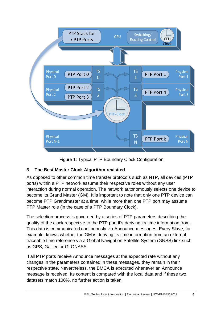

Figure 1: Typical PTP Boundary Clock Configuration

# **3 The Best Master Clock Algorithm revisited**

As opposed to other common time transfer protocols such as NTP, all devices (PTP ports) within a PTP network assume their respective roles without any user interaction during normal operation. The network autonomously selects one device to become its Grand Master (GM). It is important to note that only one PTP device can become PTP Grandmaster at a time, while more than one PTP port may assume PTP Master role (in the case of a PTP Boundary Clock).

The selection process is governed by a series of PTP parameters describing the quality of the clock respective to the PTP port it's deriving its time information from. This data is communicated continuously via Announce messages. Every Slave, for example, knows whether the GM is deriving its time information from an external traceable time reference via a Global Navigation Satellite System (GNSS) link such as GPS, Galileo or GLONASS.

If all PTP ports receive Announce messages at the expected rate without any changes in the parameters contained in these messages, they remain in their respective state. Nevertheless, the BMCA is executed whenever an Announce message is received. Its content is compared with the local data and if these two datasets match 100%, no further action is taken.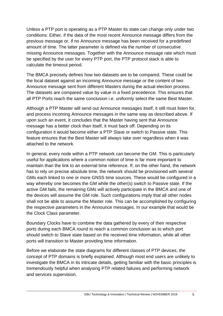Unless a PTP port is operating as a PTP Master its state can change only under two conditions: Either, if the data of the most recent Announce message differs from the previous message or, if no Announce message has been received for a predefined amount of time. The latter parameter is defined via the number of consecutive missing Announce messages. Together with the Announce message rate which must be specified by the user for every PTP port, the PTP protocol stack is able to calculate the timeout period.

The BMCA precisely defines how two datasets are to be compared. These could be the local dataset against an incoming Announce message or the content of two Announce message sent from different Masters during the actual election process. The datasets are compared value by value in a fixed precedence. This ensures that all PTP Ports reach the same conclusion i.e. uniformly select the same Best Master.

Although a PTP Master will send out Announce messages itself, it still must listen for, and process incoming Announce messages in the same way as described above. If upon such an event, it concludes that the Master having sent that Announce message has a better clock than itself, it must back off. Depending on its configuration it would become either a PTP Slave or switch to Passive state. This feature ensures that the Best Master will always take over regardless when it was attached to the network.

In general, every node within a PTP network can become the GM. This is particularly useful for applications where a common notion of time is far more important to maintain than the link to an external time reference. If, on the other hand, the network has to rely on precise absolute time, the network should be provisioned with several GMs each linked to one or more GNSS time sources. These would be configured in a way whereby one becomes the GM while the other(s) switch to Passive state. If the active GM fails, the remaining GMs will actively participate in the BMCA and one of the devices will assume the GM role. Such configurations imply that all other nodes shall not be able to assume the Master role. This can be accomplished by configuring the respective parameters in the Announce messages. In our example that would be the Clock Class parameter.

Boundary Clocks have to combine the data gathered by every of their respective ports during each BMCA round to reach a common conclusion as to which port should switch to Slave state based on the received time information, while all other ports will transition to Master providing time information.

Before we elaborate the state diagrams for different classes of PTP devices, the concept of PTP domains is briefly explained. Although most end users are unlikely to investigate the BMCA in its intricate details, getting familiar with the basic principles is tremendously helpful when analysing PTP related failures and performing network and services supervision.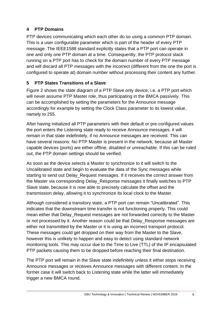# **4 PTP Domains**

PTP devices communicating which each other do so using a common PTP domain. This is a user configurable parameter which is part of the header of every PTP message. The IEEE1588 standard explicitly states that a PTP port can operate in one and only one PTP domain at a time. Consequently, the PTP protocol stack running on a PTP port has to check for the domain number of every PTP message and will discard all PTP messages with the incorrect (different from the one the port is configured to operate at) domain number without processing their content any further.

# **5 PTP States Transitions of a Slave**

Figure 2 shows the state diagram of a PTP Slave only device, i.e. a PTP port which will never assume PTP Master role, thus participating in the BMCA passively. This can be accomplished by setting the parameters for the Announce message accordingly for example by setting the Clock Class parameter to its lowest value, namely to 255.

After having initialized all PTP parameters with their default or pre-configured values the port enters the Listening state ready to receive Announce messages. it will remain in that state indefinitely, if no Announce messages are received. This can have several reasons: No PTP Master is present in the network, because all Master capable devices (ports) are either offline, disabled or unreachable. If this can be ruled out, the PTP domain settings should be verified.

As soon as the device selects a Master to synchronize to it will switch to the Uncalibrated state and begin to evaluate the data of the Sync messages while starting to send out Delay Request messages. If it receives the correct answer from the Master via corresponding Delay\_Response messages it finally switches to PTP Slave state, because it is now able to precisely calculate the offset and the transmission delay, allowing it to synchronize its local clock to the Master.

Although considered a transitory state, a PTP port can remain "Uncalibrated". This indicates that the downstream time transfer is not functioning properly. This could mean either that Delay\_Request messages are not forwarded correctly to the Master or not processed by it. Another reason could be that Delay\_Response messages are either not transmitted by the Master or it is using an incorrect transport protocol. These messages could get dropped on their way from the Master to the Slave, however this is unlikely to happen and easy to detect using standard network monitoring tools. This may occur due to the Time to Live (TTL) of the IP encapsulated PTP packets causing them to be dropped before reaching their final destination.

The PTP port will remain in the Slave state indefinitely unless it either stops receiving Announce messages or receives Announce messages with different content. In the former case it will switch back to Listening state while the latter will immediately trigger a new BMCA round.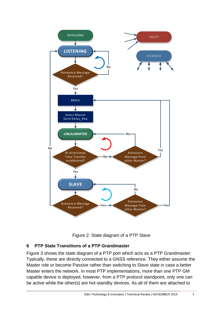

Figure 2: State diagram of a PTP Slave

## **6 PTP State Transitions of a PTP Grandmaster**

Figure 3 shows the state diagram of a PTP port which acts as a PTP Grandmaster. Typically, these are directly connected to a GNSS reference. They either assume the Master role or become Passive rather than switching to Slave state in case a better Master enters the network. In most PTP implementations, more than one PTP GM capable device is deployed, however, from a PTP protocol standpoint, only one can be active while the other(s) are hot-standby devices. As all of them are attached to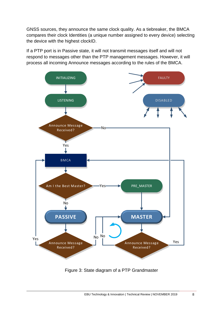GNSS sources, they announce the same clock quality. As a tiebreaker, the BMCA compares their clock Identities (a unique number assigned to every device) selecting the device with the highest clockID.

If a PTP port is in Passive state, it will not transmit messages itself and will not respond to messages other than the PTP management messages. However, it will<br>process all incoming Announce messages according to the rules of the BMCA. process all incoming Announce messages according to the rules of the BMCA.



Figure 3: State diagram of a PTP Grandmaster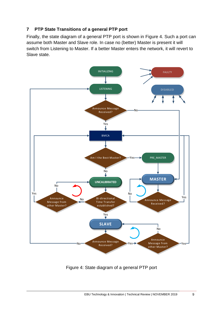## **7 PTP State Transitions of a general PTP port**

Finally, the state diagram of a general PTP port is shown in Figure 4. Such a port can assume both Master and Slave role. In case no (better) Master is present it will switch from Listening to Master. If a better Master enters the network, it will revert to Slave state.



Figure 4: State diagram of a general PTP port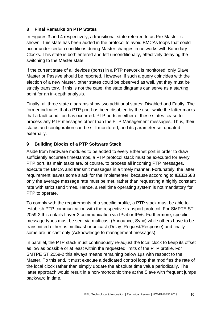#### **8 Final Remarks on PTP States**

In Figures 3 and 4 respectively, a transitional state referred to as Pre-Master is shown. This state has been added in the protocol to avoid BMCAs loops that could occur under certain conditions during Master changes in networks with Boundary Clocks. This state is both entered and left unconditionally, effectively delaying the switching to the Master state.

If the current state of all devices (ports) in a PTP network is monitored, only Slave, Master or Passive should be reported. However, if such a query coincides with the election of a new Master, other states could be observed as well, yet they must be strictly transitory. If this is not the case, the state diagrams can serve as a starting point for an in-depth analysis.

Finally, all three state diagrams show two additional states: Disabled and Faulty. The former indicates that a PTP port has been disabled by the user while the latter marks that a fault condition has occurred. PTP ports in either of these states cease to process any PTP messages other than the PTP Management messages. Thus, their status and configuration can be still monitored, and its parameter set updated externally.

## **9 Building Blocks of a PTP Software Stack**

Aside from hardware modules to be added to every Ethernet port in order to draw sufficiently accurate timestamps, a PTP protocol stack must be executed for every PTP port. Its main tasks are, of course, to process all incoming PTP messages, execute the BMCA and transmit messages in a timely manner. Fortunately, the latter requirement leaves some slack for the implementer, because according to IEEE1588 only the average message rate must be met, rather than requesting a highly constant rate with strict send times. Hence, a real time operating system is not mandatory for PTP to operate.

To comply with the requirements of a specific profile, a PTP stack must be able to establish PTP communication with the respective transport protocol. For SMPTE ST 2059-2 this entails Layer-3 communication via IPv4 or IPv6. Furthermore, specific message types must be sent via multicast (Announce, Sync) while others have to be transmitted either as multicast or unicast (Delay\_Request/Response) and finally some are unicast only (Acknowledge to management messages).

In parallel, the PTP stack must continuously re-adjust the local clock to keep its offset as low as possible or at least within the requested limits of the PTP profile. For SMTPE ST 2059-2 this always means remaining below 1µs with respect to the Master. To this end, it must execute a dedicated control loop that modifies the rate of the local clock rather than simply update the absolute time value periodically. The latter approach would result in a non-monotonic time at the Slave with frequent jumps backward in time.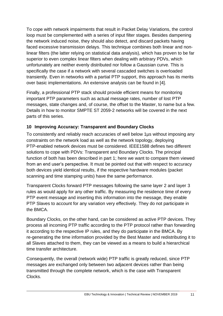To cope with network impairments that result in Packet Delay Variations, the control loop must be complemented with a series of input filter stages. Besides dampening the network induced noise, they should also detect, and discard packets having faced excessive transmission delays. This technique combines both linear and nonlinear filters (the latter relying on statistical data analysis), which has proven to be far superior to even complex linear filters when dealing with arbitrary PDVs, which unfortunately are neither evenly distributed nor follow a Gaussian curve. This is specifically the case if a network with several cascaded switches is overloaded transiently. Even in networks with a partial PTP support, this approach has its merits over basic implementations. An extensive analysis can be found in [4].

Finally, a professional PTP stack should provide efficient means for monitoring important PTP parameters such as actual message rates, number of lost PTP messages, state changes and, of course, the offset to the Master, to name but a few. Details in how to monitor SMPTE ST 2059-2 networks will be covered in the next parts of this series.

## **10 Improving Accuracy: Transparent and Boundary Clocks**

To consistently and reliably reach accuracies of well below 1µs without imposing any constraints on the network load as well as the network topology, deploying PTP-enabled network devices must be considered. IEEE1588 defines two different solutions to cope with PDVs: Transparent and Boundary Clocks. The principal function of both has been described in part 1; here we want to compare them viewed from an end user's perspective. It must be pointed out that with respect to accuracy both devices yield identical results, if the respective hardware modules (packet scanning and time stamping units) have the same performance.

Transparent Clocks forward PTP messages following the same layer 2 and layer 3 rules as would apply for any other traffic. By measuring the residence time of every PTP event message and inserting this information into the message, they enable PTP Slaves to account for any variation very effectively. They do not participate in the BMCA.

Boundary Clocks, on the other hand, can be considered as active PTP devices. They process all incoming PTP traffic according to the PTP protocol rather than forwarding it according to the respective IP rules, and they do participate in the BMCA. By re-generating the time information provided by the Best Master and redistributing it to all Slaves attached to them, they can be viewed as a means to build a hierarchical time transfer architecture.

Consequently, the overall (network wide) PTP traffic is greatly reduced, since PTP messages are exchanged only between two adjacent devices rather than being transmitted through the complete network, which is the case with Transparent Clocks.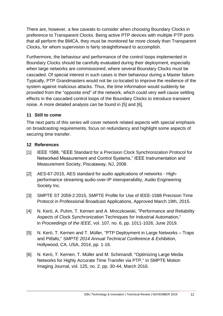There are, however, a few caveats to consider when choosing Boundary Clocks in preference to Transparent Clocks. Being active PTP devices with multiple PTP ports that all perform the BMCA, they must be monitored far more closely than Transparent Clocks, for whom supervision is fairly straightforward to accomplish.

Furthermore, the behaviour and performance of the control loops implemented in Boundary Clocks should be carefully evaluated during their deployment, especially when large networks are commissioned, where several Boundary Clocks must be cascaded. Of special interest in such cases is their behaviour during a Master failure. Typically, PTP Grandmasters would not be co-located to improve the resilience of the system against malicious attacks. Thus, the time information would suddenly be provided from the "opposite end" of the network, which could very well cause settling effects in the cascaded control loops of the Boundary Clocks to introduce transient noise. A more detailed analysis can be found in [5] and [6],

#### **11 Still to come**

The next parts of this series will cover network related aspects with special emphasis on broadcasting requirements, focus on redundancy and highlight some aspects of securing time transfer.

#### **12 References**

- [1] IEEE 1588, "IEEE Standard for a Precision Clock Synchronization Protocol for Networked Measurement and Control Systems," IEEE Instrumentation and Measurement Society, Piscataway, NJ, 2008.
- [2] AES-67-2015, AES standard for audio applications of networks Highperformance streaming audio-over-IP interoperability, Audio Engineering Society Inc.
- [3] SMPTE ST 2059-2:2015, SMPTE Profile for Use of IEEE-1588 Precision Time Protocol in Professional Broadcast Applications, Approved March 19th, 2015.
- [4] N. Kerö, A. Puhm, T. Kernen and A. Mroczkowski, "Performance and Reliability Aspects of Clock Synchronization Techniques for Industrial Automation," in *Proceedings of the IEEE*, vol. 107, no. 6, pp. 1011-1026, June 2019.
- [5] N. Kerö, T. Kernen and T. Müller, "PTP Deployment in Large Networks Traps and Pitfalls," *SMPTE 2014 Annual Technical Conference & Exhibition*, Hollywood, CA, USA, 2014, pp. 1-16.
- [6] N. Kerö, T. Kernen, T. Müller and M. Schimandl, "Optimizing Large Media Networks for Highly Accurate Time Transfer via PTP," in SMPTE Motion Imaging Journal, vol. 125, no. 2, pp. 30-44, March 2016.